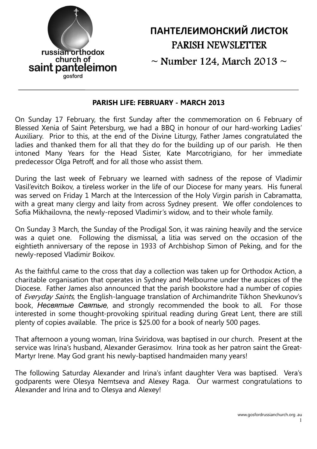

# ПАНТЕЛЕИМОНСКИЙ ЛИСТОК PARISH NEWSLETTER

 $\sim$  Number 124, March 2013  $\sim$ 

#### PARISH LIFE: FEBRUARY - MARCH 2013

On Sunday 17 February, the first Sunday after the commemoration on 6 February of Blessed Xenia of Saint Petersburg, we had a BBQ in honour of our hard-working Ladies' Auxiliary. Prior to this, at the end of the Divine Liturgy, Father James congratulated the ladies and thanked them for all that they do for the building up of our parish. He then intoned Many Years for the Head Sister, Kate Marcotrigiano, for her immediate predecessor Olga Petroff, and for all those who assist them.

During the last week of February we learned with sadness of the repose of Vladimir Vasil'evitch Boikov, a tireless worker in the life of our Diocese for many years. His funeral was served on Friday 1 March at the Intercession of the Holy Virgin parish in Cabramatta, with a great many clergy and laity from across Sydney present. We offer condolences to Sofia Mikhailovna, the newly-reposed Vladimir's widow, and to their whole family.

On Sunday 3 March, the Sunday of the Prodigal Son, it was raining heavily and the service was a quiet one. Following the dismissal, a litia was served on the occasion of the eightieth anniversary of the repose in 1933 of Archbishop Simon of Peking, and for the newly-reposed Vladimir Boikov.

As the faithful came to the cross that day a collection was taken up for Orthodox Action, a charitable organisation that operates in Sydney and Melbourne under the auspices of the Diocese. Father James also announced that the parish bookstore had a number of copies of *Everyday Saints*, the English-language translation of Archimandrite Tikhon Shevkunov's book, Несвятые Святые, and strongly recommended the book to all. For those interested in some thought-provoking spiritual reading during Great Lent, there are still plenty of copies available. The price is \$25.00 for a book of nearly 500 pages.

That afternoon a young woman, Irina Sviridova, was baptised in our church. Present at the service was Irina's husband, Alexander Gerasimov. Irina took as her patron saint the Great-Martyr Irene. May God grant his newly-baptised handmaiden many years!

The following Saturday Alexander and Irina's infant daughter Vera was baptised. Vera's godparents were Olesya Nemtseva and Alexey Raga. Our warmest congratulations to Alexander and Irina and to Olesya and Alexey!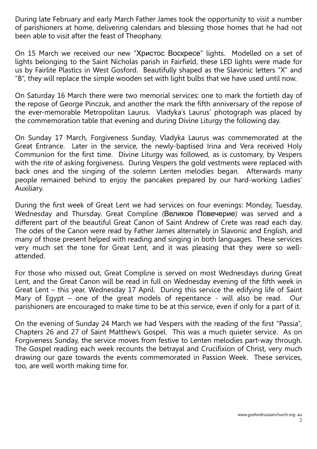During late February and early March Father James took the opportunity to visit a number of parishioners at home, delivering calendars and blessing those homes that he had not been able to visit after the feast of Theophany.

On 15 March we received our new "Христос Воскресе" lights. Modelled on a set of lights belonging to the Saint Nicholas parish in Fairfield, these LED lights were made for us by Fairlite Plastics in West Gosford. Beautifully shaped as the Slavonic letters "X" and "B", they will replace the simple wooden set with light bulbs that we have used until now.

On Saturday 16 March there were two memorial services: one to mark the fortieth day of the repose of George Pinczuk, and another the mark the fifth anniversary of the repose of the ever-memorable Metropolitan Laurus. Vladyka's Laurus' photograph was placed by the commemoration table that evening and during Divine Liturgy the following day.

On Sunday 17 March, Forgiveness Sunday, Vladyka Laurus was commemorated at the Great Entrance. Later in the service, the newly-baptised Irina and Vera received Holy Communion for the first time. Divine Liturgy was followed, as is customary, by Vespers with the rite of asking forgiveness. During Vespers the gold vestments were replaced with back ones and the singing of the solemn Lenten melodies began. Afterwards many people remained behind to enjoy the pancakes prepared by our hard-working Ladies' Auxiliary.

During the first week of Great Lent we had services on four evenings: Monday, Tuesday, Wednesday and Thursday. Great Compline (Великое Повечерие) was served and a different part of the beautiful Great Canon of Saint Andrew of Crete was read each day. The odes of the Canon were read by Father James alternately in Slavonic and English, and many of those present helped with reading and singing in both languages. These services very much set the tone for Great Lent, and it was pleasing that they were so wellattended.

For those who missed out, Great Compline is served on most Wednesdays during Great Lent, and the Great Canon will be read in full on Wednesday evening of the fifth week in Great Lent – this year, Wednesday 17 April. During this service the edifying life of Saint Mary of Egypt – one of the great models of repentance - will also be read. Our parishioners are encouraged to make time to be at this service, even if only for a part of it.

On the evening of Sunday 24 March we had Vespers with the reading of the first "Passia", Chapters 26 and 27 of Saint Matthew's Gospel. This was a much quieter service. As on Forgiveness Sunday, the service moves from festive to Lenten melodies part-way through. The Gospel reading each week recounts the betrayal and Crucifixion of Christ, very much drawing our gaze towards the events commemorated in Passion Week. These services, too, are well worth making time for.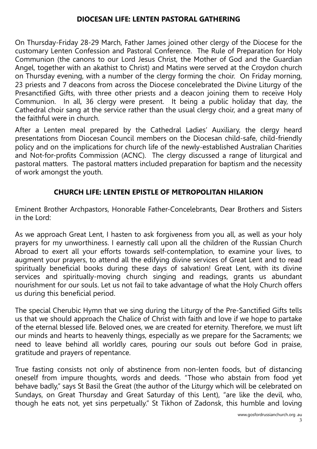#### DIOCESAN LIFE: LENTEN PASTORAL GATHERING

On Thursday-Friday 28-29 March, Father James joined other clergy of the Diocese for the customary Lenten Confession and Pastoral Conference. The Rule of Preparation for Holy Communion (the canons to our Lord Jesus Christ, the Mother of God and the Guardian Angel, together with an akathist to Christ) and Matins were served at the Croydon church on Thursday evening, with a number of the clergy forming the choir. On Friday morning, 23 priests and 7 deacons from across the Diocese concelebrated the Divine Liturgy of the Presanctified Gifts, with three other priests and a deacon joining them to receive Holy Communion. In all, 36 clergy were present. It being a public holiday that day, the Cathedral choir sang at the service rather than the usual clergy choir, and a great many of the faithful were in church.

After a Lenten meal prepared by the Cathedral Ladies' Auxiliary, the clergy heard presentations from Diocesan Council members on the Diocesan child-safe, child-friendly policy and on the implications for church life of the newly-established Australian Charities and Not-for-profits Commission (ACNC). The clergy discussed a range of liturgical and pastoral matters. The pastoral matters included preparation for baptism and the necessity of work amongst the youth.

#### CHURCH LIFE: LENTEN EPISTLE OF METROPOLITAN HILARION

Eminent Brother Archpastors, Honorable Father-Concelebrants, Dear Brothers and Sisters in the Lord:

As we approach Great Lent, I hasten to ask forgiveness from you all, as well as your holy prayers for my unworthiness. I earnestly call upon all the children of the Russian Church Abroad to exert all your efforts towards self-contemplation, to examine your lives, to augment your prayers, to attend all the edifying divine services of Great Lent and to read spiritually beneficial books during these days of salvation! Great Lent, with its divine services and spiritually-moving church singing and readings, grants us abundant nourishment for our souls. Let us not fail to take advantage of what the Holy Church offers us during this beneficial period.

The special Cherubic Hymn that we sing during the Liturgy of the Pre-Sanctified Gifts tells us that we should approach the Chalice of Christ with faith and love if we hope to partake of the eternal blessed life. Beloved ones, we are created for eternity. Therefore, we must lift our minds and hearts to heavenly things, especially as we prepare for the Sacraments; we need to leave behind all worldly cares, pouring our souls out before God in praise, gratitude and prayers of repentance.

True fasting consists not only of abstinence from non-lenten foods, but of distancing oneself from impure thoughts, words and deeds. "Those who abstain from food yet behave badly," says St Basil the Great (the author of the Liturgy which will be celebrated on Sundays, on Great Thursday and Great Saturday of this Lent), "are like the devil, who, though he eats not, yet sins perpetually." St Tikhon of Zadonsk, this humble and loving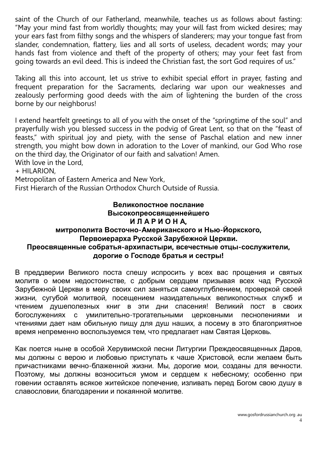saint of the Church of our Fatherland, meanwhile, teaches us as follows about fasting: "May your mind fast from worldly thoughts; may your will fast from wicked desires; may your ears fast from filthy songs and the whispers of slanderers; may your tongue fast from slander, condemnation, flattery, lies and all sorts of useless, decadent words; may your hands fast from violence and theft of the property of others; may your feet fast from going towards an evil deed. This is indeed the Christian fast, the sort God requires of us."

Taking all this into account, let us strive to exhibit special effort in prayer, fasting and frequent preparation for the Sacraments, declaring war upon our weaknesses and zealously performing good deeds with the aim of lightening the burden of the cross borne by our neighborus!

I extend heartfelt greetings to all of you with the onset of the "springtime of the soul" and prayerfully wish you blessed success in the podvig of Great Lent, so that on the "feast of feasts," with spiritual joy and piety, with the sense of Paschal elation and new inner strength, you might bow down in adoration to the Lover of mankind, our God Who rose on the third day, the Originator of our faith and salvation! Amen.

With love in the Lord,

+ HILARION,

Metropolitan of Eastern America and New York,

First Hierarch of the Russian Orthodox Church Outside of Russia.

#### Великопостное послание Высокопреосвященнейшего И Л А Р И О Н А, митрополита Восточно-Американского и Нью-Йоркского, Первоиерарха Русской Зарубежной Церкви. Преосвященные собратья-архипастыри, всечестные отцы-сослужители, дорогие о Господе братья и сестры!

В преддверии Великого поста спешу испросить у всех вас прощения и святых молитв о моем недостоинстве, с добрым сердцем призывая всех чад Русской Зарубежной Церкви в меру своих сил заняться самоуглублением, проверкой своей жизни, сугубой молитвой, посещением назидательных великопостных служб и чтением душеполезных книг в эти дни спасения! Великий пост в своих богослужениях с умилительно-трогательными церковными песнопениями и чтениями дает нам обильную пищу для душ наших, а посему в это благоприятное время непременно воспользуемся тем, что предлагает нам Святая Церковь.

Как поется ныне в особой Херувимской песни Литургии Преждеосвященных Даров, мы должны с верою и любовью приступать к чаше Христовой, если желаем быть причастниками вечно-блаженной жизни. Мы, дорогие мои, созданы для вечности. Поэтому, мы должны возноситься умом и сердцем к небесному; особенно при говении оставлять всякое житейское попечение, изливать перед Богом свою душу в славословии, благодарении и покаянной молитве.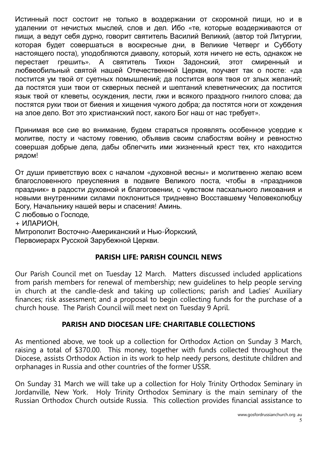Истинный пост состоит не только в воздержании от скоромной пищи, но и в удалении от нечистых мыслей, слов и дел. Ибо «те, которые воздерживаются от пищи, а ведут себя дурно, говорит святитель Василий Великий, (автор той Литургии, которая будет совершаться в воскресные дни, в Великие Четверг и Субботу настоящего поста), уподобляются диаволу, который, хотя ничего не есть, однакож не перестает грешить». А святитель Тихон Задонский, этот смиренный любвеобильный святой нашей Отечественной Церкви, поучает так о посте: «да постится ум твой от суетных помышлений; да постится воля твоя от злых желаний; да постятся уши твои от скверных песней и шептаний клеветнических; да постится язык твой от клеветы, осуждения, лести, лжи и всякого праздного гнилого слова; да постятся руки твои от биения и хищения чужого добра; да постятся ноги от хождения на злое дело. Вот это христианский пост, какого Бог наш от нас требует».

Принимая все сие во внимание, будем стараться проявлять особенное усердие к молитве, посту и частому говению, объявив своим слабостям войну и ревностно совершая добрые дела, дабы облегчить ими жизненный крест тех, кто находится рядом!

От души приветствую всех с началом «духовной весны» и молитвенно желаю всем благословенного преуспеяния в подвиге Великого поста, чтобы в «праздников праздник» в радости духовной и благоговении, с чувством пасхального ликования и новыми внутренними силами поклониться тридневно Восставшему Человеколюбцу Богу, Начальнику нашей веры и спасения! Аминь.

С любовью о Господе,

+ ИЛАРИОН,

Митрополит Восточно-Американский и Нью-Йоркский,

Первоиерарх Русской Зарубежной Церкви.

## PARISH LIFE: PARISH COUNCIL NEWS

Our Parish Council met on Tuesday 12 March. Matters discussed included applications from parish members for renewal of membership; new guidelines to help people serving in church at the candle-desk and taking up collections; parish and Ladies' Auxiliary finances; risk assessment; and a proposal to begin collecting funds for the purchase of a church house. The Parish Council will meet next on Tuesday 9 April.

## PARISH AND DIOCESAN LIFE: CHARITABLE COLLECTIONS

As mentioned above, we took up a collection for Orthodox Action on Sunday 3 March, raising a total of \$370.00. This money, together with funds collected throughout the Diocese, assists Orthodox Action in its work to help needy persons, destitute children and orphanages in Russia and other countries of the former USSR.

On Sunday 31 March we will take up a collection for Holy Trinity Orthodox Seminary in Jordanville, New York. Holy Trinity Orthodox Seminary is the main seminary of the Russian Orthodox Church outside Russia. This collection provides financial assistance to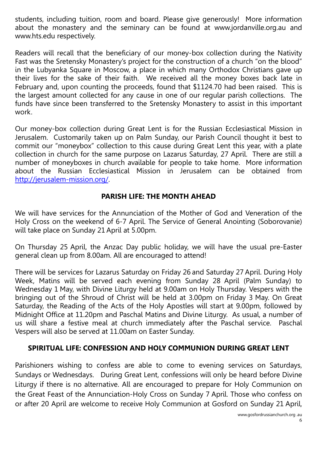students, including tuition, room and board. Please give generously! More information about the monastery and the seminary can be found at www.jordanville.org.au and www.hts.edu respectively.

Readers will recall that the beneficiary of our money-box collection during the Nativity Fast was the Sretensky Monastery's project for the construction of a church "on the blood" in the Lubyanka Square in Moscow, a place in which many Orthodox Christians gave up their lives for the sake of their faith. We received all the money boxes back late in February and, upon counting the proceeds, found that \$1124.70 had been raised. This is the largest amount collected for any cause in one of our regular parish collections. The funds have since been transferred to the Sretensky Monastery to assist in this important work.

Our money-box collection during Great Lent is for the Russian Ecclesiastical Mission in Jerusalem. Customarily taken up on Palm Sunday, our Parish Council thought it best to commit our "moneybox" collection to this cause during Great Lent this year, with a plate collection in church for the same purpose on Lazarus Saturday, 27 April. There are still a number of moneyboxes in church available for people to take home. More information about the Russian Ecclesiastical Mission in Jerusalem can be obtained from http://jerusalem-mission.org/.

## PARISH LIFE: THE MONTH AHEAD

We will have services for the Annunciation of the Mother of God and Veneration of the Holy Cross on the weekend of 6-7 April. The Service of General Anointing (Soborovanie) will take place on Sunday 21 April at 5.00pm.

On Thursday 25 April, the Anzac Day public holiday, we will have the usual pre-Easter general clean up from 8.00am. All are encouraged to attend!

There will be services for Lazarus Saturday on Friday 26 and Saturday 27 April. During Holy Week, Matins will be served each evening from Sunday 28 April (Palm Sunday) to Wednesday 1 May, with Divine Liturgy held at 9.00am on Holy Thursday. Vespers with the bringing out of the Shroud of Christ will be held at 3.00pm on Friday 3 May. On Great Saturday, the Reading of the Acts of the Holy Apostles will start at 9.00pm, followed by Midnight Office at 11.20pm and Paschal Matins and Divine Liturgy. As usual, a number of us will share a festive meal at church immediately after the Paschal service. Paschal Vespers will also be served at 11.00am on Easter Sunday.

#### SPIRITUAL LIFE: CONFESSION AND HOLY COMMUNION DURING GREAT LENT

Parishioners wishing to confess are able to come to evening services on Saturdays, Sundays or Wednesdays. During Great Lent, confessions will only be heard before Divine Liturgy if there is no alternative. All are encouraged to prepare for Holy Communion on the Great Feast of the Annunciation-Holy Cross on Sunday 7 April. Those who confess on or after 20 April are welcome to receive Holy Communion at Gosford on Sunday 21 April,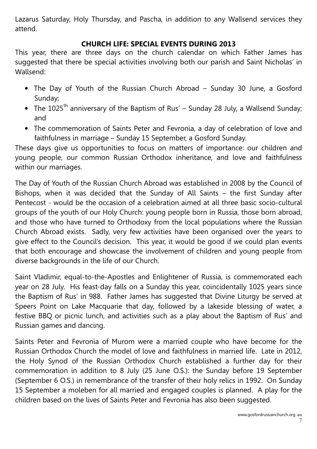Lazarus Saturday, Holy Thursday, and Pascha, in addition to any Wallsend services they attend.

#### CHURCH LIFE: SPECIAL EVENTS DURING 2013

This year, there are three days on the church calendar on which Father James has suggested that there be special activities involving both our parish and Saint Nicholas' in Wallsend:

- The Day of Youth of the Russian Church Abroad Sunday 30 June, a Gosford Sunday;
- The  $1025<sup>th</sup>$  anniversary of the Baptism of Rus' Sunday 28 July, a Wallsend Sunday; and
- The commemoration of Saints Peter and Fevronia, a day of celebration of love and faithfulness in marriage – Sunday 15 September, a Gosford Sunday.

These days give us opportunities to focus on matters of importance: our children and young people, our common Russian Orthodox inheritance, and love and faithfulness within our marriages.

The Day of Youth of the Russian Church Abroad was established in 2008 by the Council of Bishops, when it was decided that the Sunday of All Saints – the first Sunday after Pentecost - would be the occasion of a celebration aimed at all three basic socio-cultural groups of the youth of our Holy Church: young people born in Russia, those born abroad, and those who have turned to Orthodoxy from the local populations where the Russian Church Abroad exists. Sadly, very few activities have been organised over the years to give effect to the Council's decision. This year, it would be good if we could plan events that both encourage and showcase the involvement of children and young people from diverse backgrounds in the life of our Church.

Saint Vladimir, equal-to-the-Apostles and Enlightener of Russia, is commemorated each year on 28 July. His feast-day falls on a Sunday this year, coincidentally 1025 years since the Baptism of Rus' in 988. Father James has suggested that Divine Liturgy be served at Speers Point on Lake Macquarie that day, followed by a lakeside blessing of water, a festive BBQ or picnic lunch, and activities such as a play about the Baptism of Rus' and Russian games and dancing.

Saints Peter and Fevronia of Murom were a married couple who have become for the Russian Orthodox Church the model of love and faithfulness in married life. Late in 2012, the Holy Synod of the Russian Orthodox Church established a further day for their commemoration in addition to 8 July (25 June O.S.): the Sunday before 19 September (September 6 O.S.) in remembrance of the transfer of their holy relics in 1992. On Sunday 15 September a moleben for all married and engaged couples is planned. A play for the children based on the lives of Saints Peter and Fevronia has also been suggested.